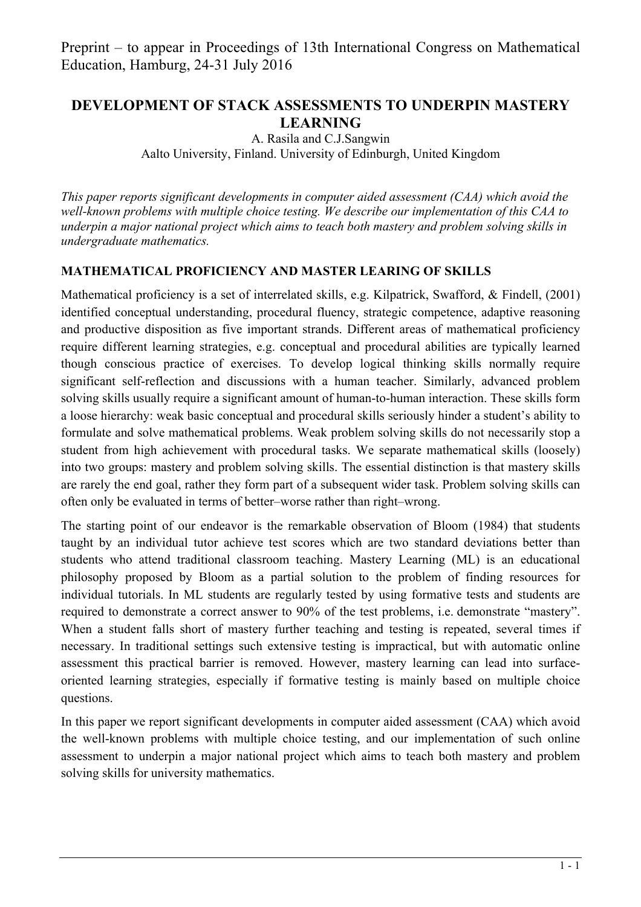# **DEVELOPMENT OF STACK ASSESSMENTS TO UNDERPIN MASTERY LEARNING**

A. Rasila and C.J.Sangwin Aalto University, Finland. University of Edinburgh, United Kingdom

*This paper reports significant developments in computer aided assessment (CAA) which avoid the well-known problems with multiple choice testing. We describe our implementation of this CAA to underpin a major national project which aims to teach both mastery and problem solving skills in undergraduate mathematics.* 

#### **MATHEMATICAL PROFICIENCY AND MASTER LEARING OF SKILLS**

Mathematical proficiency is a set of interrelated skills, e.g. Kilpatrick, Swafford, & Findell, (2001) identified conceptual understanding, procedural fluency, strategic competence, adaptive reasoning and productive disposition as five important strands. Different areas of mathematical proficiency require different learning strategies, e.g. conceptual and procedural abilities are typically learned though conscious practice of exercises. To develop logical thinking skills normally require significant self-reflection and discussions with a human teacher. Similarly, advanced problem solving skills usually require a significant amount of human-to-human interaction. These skills form a loose hierarchy: weak basic conceptual and procedural skills seriously hinder a student's ability to formulate and solve mathematical problems. Weak problem solving skills do not necessarily stop a student from high achievement with procedural tasks. We separate mathematical skills (loosely) into two groups: mastery and problem solving skills. The essential distinction is that mastery skills are rarely the end goal, rather they form part of a subsequent wider task. Problem solving skills can often only be evaluated in terms of better–worse rather than right–wrong.

The starting point of our endeavor is the remarkable observation of Bloom (1984) that students taught by an individual tutor achieve test scores which are two standard deviations better than students who attend traditional classroom teaching. Mastery Learning (ML) is an educational philosophy proposed by Bloom as a partial solution to the problem of finding resources for individual tutorials. In ML students are regularly tested by using formative tests and students are required to demonstrate a correct answer to 90% of the test problems, i.e. demonstrate "mastery". When a student falls short of mastery further teaching and testing is repeated, several times if necessary. In traditional settings such extensive testing is impractical, but with automatic online assessment this practical barrier is removed. However, mastery learning can lead into surfaceoriented learning strategies, especially if formative testing is mainly based on multiple choice questions.

In this paper we report significant developments in computer aided assessment (CAA) which avoid the well-known problems with multiple choice testing, and our implementation of such online assessment to underpin a major national project which aims to teach both mastery and problem solving skills for university mathematics.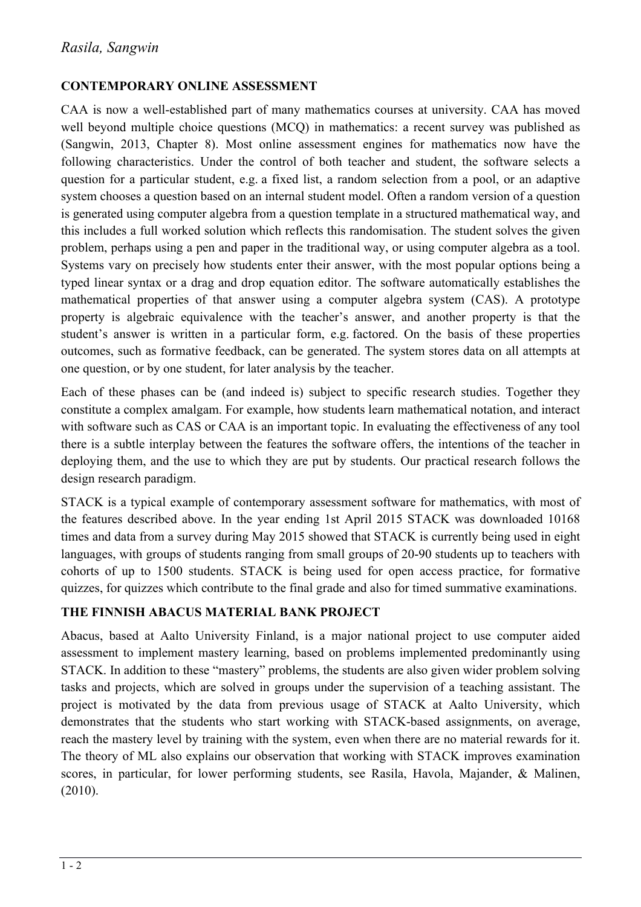### **CONTEMPORARY ONLINE ASSESSMENT**

CAA is now a well-established part of many mathematics courses at university. CAA has moved well beyond multiple choice questions (MCQ) in mathematics: a recent survey was published as (Sangwin, 2013, Chapter 8). Most online assessment engines for mathematics now have the following characteristics. Under the control of both teacher and student, the software selects a question for a particular student, e.g. a fixed list, a random selection from a pool, or an adaptive system chooses a question based on an internal student model. Often a random version of a question is generated using computer algebra from a question template in a structured mathematical way, and this includes a full worked solution which reflects this randomisation. The student solves the given problem, perhaps using a pen and paper in the traditional way, or using computer algebra as a tool. Systems vary on precisely how students enter their answer, with the most popular options being a typed linear syntax or a drag and drop equation editor. The software automatically establishes the mathematical properties of that answer using a computer algebra system (CAS). A prototype property is algebraic equivalence with the teacher's answer, and another property is that the student's answer is written in a particular form, e.g. factored. On the basis of these properties outcomes, such as formative feedback, can be generated. The system stores data on all attempts at one question, or by one student, for later analysis by the teacher.

Each of these phases can be (and indeed is) subject to specific research studies. Together they constitute a complex amalgam. For example, how students learn mathematical notation, and interact with software such as CAS or CAA is an important topic. In evaluating the effectiveness of any tool there is a subtle interplay between the features the software offers, the intentions of the teacher in deploying them, and the use to which they are put by students. Our practical research follows the design research paradigm.

STACK is a typical example of contemporary assessment software for mathematics, with most of the features described above. In the year ending 1st April 2015 STACK was downloaded 10168 times and data from a survey during May 2015 showed that STACK is currently being used in eight languages, with groups of students ranging from small groups of 20-90 students up to teachers with cohorts of up to 1500 students. STACK is being used for open access practice, for formative quizzes, for quizzes which contribute to the final grade and also for timed summative examinations.

#### **THE FINNISH ABACUS MATERIAL BANK PROJECT**

Abacus, based at Aalto University Finland, is a major national project to use computer aided assessment to implement mastery learning, based on problems implemented predominantly using STACK. In addition to these "mastery" problems, the students are also given wider problem solving tasks and projects, which are solved in groups under the supervision of a teaching assistant. The project is motivated by the data from previous usage of STACK at Aalto University, which demonstrates that the students who start working with STACK-based assignments, on average, reach the mastery level by training with the system, even when there are no material rewards for it. The theory of ML also explains our observation that working with STACK improves examination scores, in particular, for lower performing students, see Rasila, Havola, Majander, & Malinen, (2010).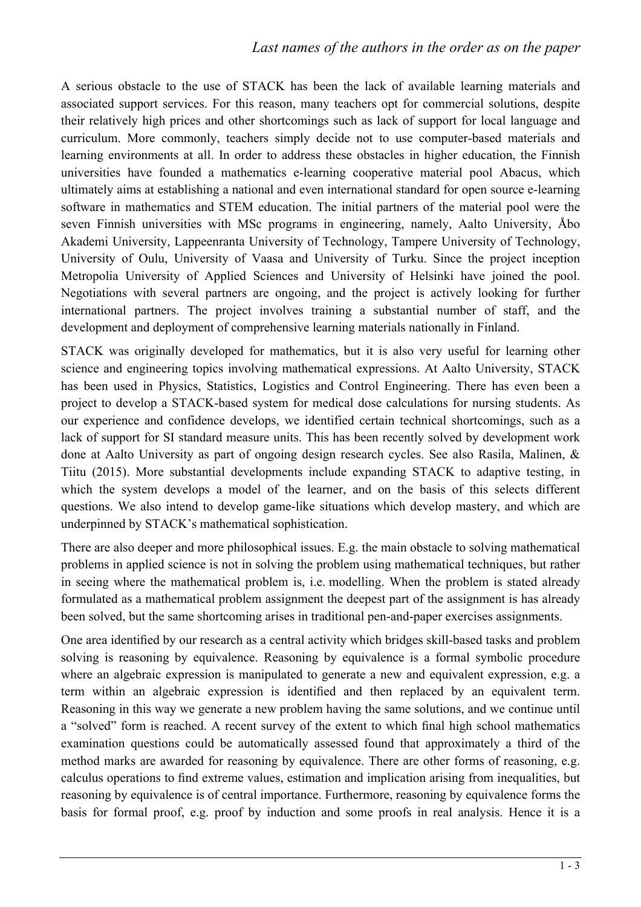### *Last names of the authors in the order as on the paper*

A serious obstacle to the use of STACK has been the lack of available learning materials and associated support services. For this reason, many teachers opt for commercial solutions, despite their relatively high prices and other shortcomings such as lack of support for local language and curriculum. More commonly, teachers simply decide not to use computer-based materials and learning environments at all. In order to address these obstacles in higher education, the Finnish universities have founded a mathematics e-learning cooperative material pool Abacus, which ultimately aims at establishing a national and even international standard for open source e-learning software in mathematics and STEM education. The initial partners of the material pool were the seven Finnish universities with MSc programs in engineering, namely, Aalto University, Åbo Akademi University, Lappeenranta University of Technology, Tampere University of Technology, University of Oulu, University of Vaasa and University of Turku. Since the project inception Metropolia University of Applied Sciences and University of Helsinki have joined the pool. Negotiations with several partners are ongoing, and the project is actively looking for further international partners. The project involves training a substantial number of staff, and the development and deployment of comprehensive learning materials nationally in Finland.

STACK was originally developed for mathematics, but it is also very useful for learning other science and engineering topics involving mathematical expressions. At Aalto University, STACK has been used in Physics, Statistics, Logistics and Control Engineering. There has even been a project to develop a STACK-based system for medical dose calculations for nursing students. As our experience and confidence develops, we identified certain technical shortcomings, such as a lack of support for SI standard measure units. This has been recently solved by development work done at Aalto University as part of ongoing design research cycles. See also Rasila, Malinen, & Tiitu (2015). More substantial developments include expanding STACK to adaptive testing, in which the system develops a model of the learner, and on the basis of this selects different questions. We also intend to develop game-like situations which develop mastery, and which are underpinned by STACK's mathematical sophistication.

There are also deeper and more philosophical issues. E.g. the main obstacle to solving mathematical problems in applied science is not in solving the problem using mathematical techniques, but rather in seeing where the mathematical problem is, i.e. modelling. When the problem is stated already formulated as a mathematical problem assignment the deepest part of the assignment is has already been solved, but the same shortcoming arises in traditional pen-and-paper exercises assignments.

One area identified by our research as a central activity which bridges skill-based tasks and problem solving is reasoning by equivalence. Reasoning by equivalence is a formal symbolic procedure where an algebraic expression is manipulated to generate a new and equivalent expression, e.g. a term within an algebraic expression is identified and then replaced by an equivalent term. Reasoning in this way we generate a new problem having the same solutions, and we continue until a "solved" form is reached. A recent survey of the extent to which final high school mathematics examination questions could be automatically assessed found that approximately a third of the method marks are awarded for reasoning by equivalence. There are other forms of reasoning, e.g. calculus operations to find extreme values, estimation and implication arising from inequalities, but reasoning by equivalence is of central importance. Furthermore, reasoning by equivalence forms the basis for formal proof, e.g. proof by induction and some proofs in real analysis. Hence it is a